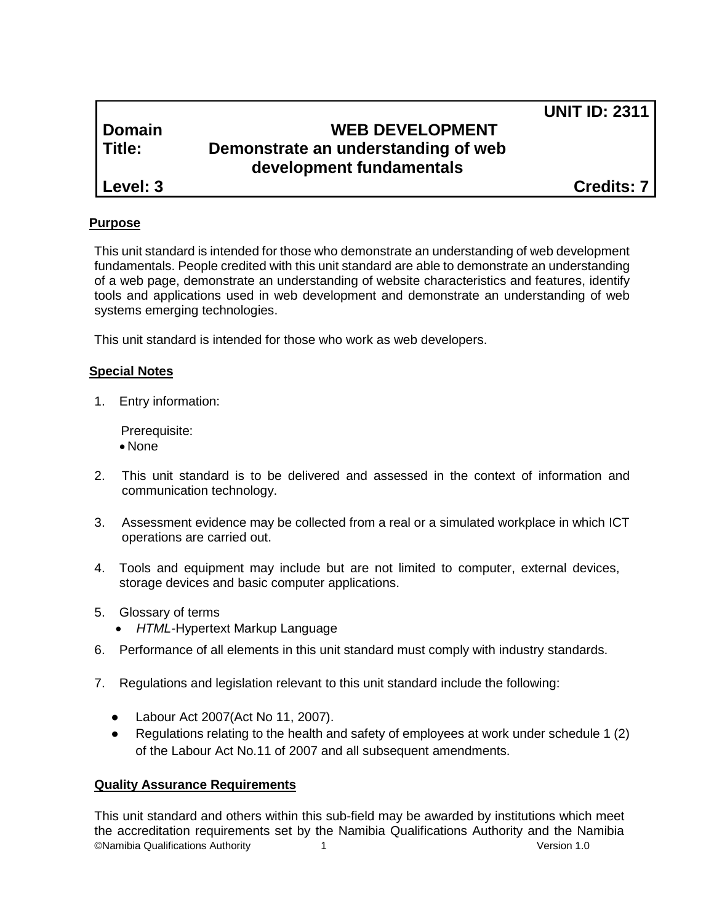# **Domain WEB DEVELOPMENT Title: Demonstrate an understanding of web development fundamentals**

**Level: 3 Credits: 7**

**UNIT ID: 2311**

# **Purpose**

This unit standard is intended for those who demonstrate an understanding of web development fundamentals. People credited with this unit standard are able to demonstrate an understanding of a web page, demonstrate an understanding of website characteristics and features, identify tools and applications used in web development and demonstrate an understanding of web systems emerging technologies.

This unit standard is intended for those who work as web developers.

## **Special Notes**

1. Entry information:

Prerequisite:

- None
- 2. This unit standard is to be delivered and assessed in the context of information and communication technology.
- 3. Assessment evidence may be collected from a real or a simulated workplace in which ICT operations are carried out.
- 4. Tools and equipment may include but are not limited to computer, external devices, storage devices and basic computer applications.
- 5. Glossary of terms
	- *HTML-*Hypertext Markup Language
- 6. Performance of all elements in this unit standard must comply with industry standards.
- 7. Regulations and legislation relevant to this unit standard include the following:
	- Labour Act 2007(Act No 11, 2007).
	- Regulations relating to the health and safety of employees at work under schedule 1 (2) of the Labour Act No.11 of 2007 and all subsequent amendments.

## **Quality Assurance Requirements**

©Namibia Qualifications Authority 1 Version 1.0 This unit standard and others within this sub-field may be awarded by institutions which meet the accreditation requirements set by the Namibia Qualifications Authority and the Namibia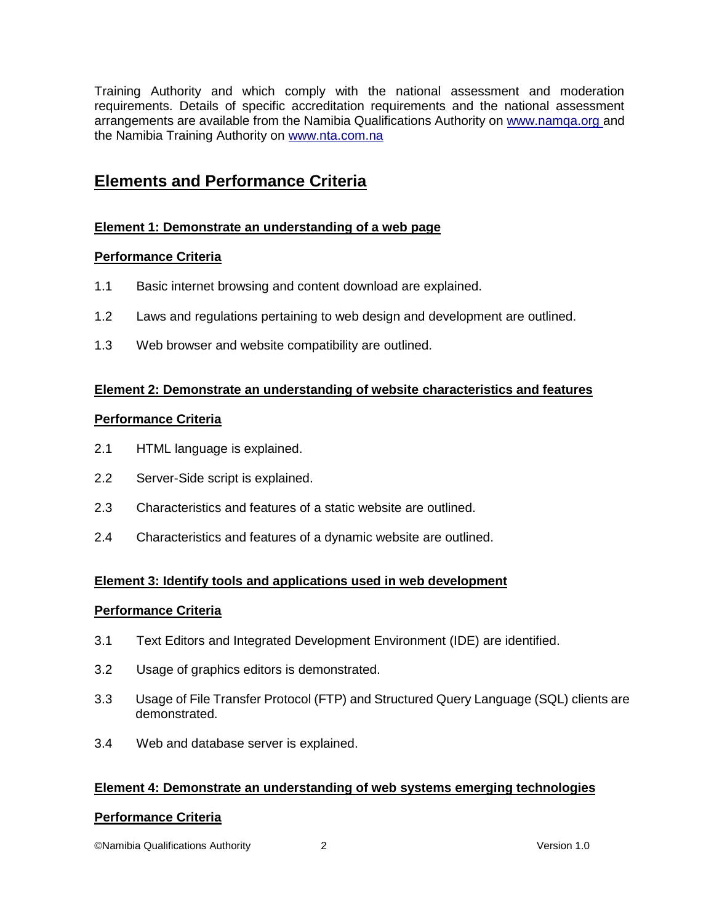Training Authority and which comply with the national assessment and moderation requirements. Details of specific accreditation requirements and the national assessment arrangements are available from the Namibia Qualifications Authority on [www.namqa.org a](http://www.namqa.org/)nd the Namibia Training Authority on [www.nta.com.na](http://www.nta.com.na/)

# **Elements and Performance Criteria**

## **Element 1: Demonstrate an understanding of a web page**

## **Performance Criteria**

- 1.1 Basic internet browsing and content download are explained.
- 1.2 Laws and regulations pertaining to web design and development are outlined.
- 1.3 Web browser and website compatibility are outlined.

#### **Element 2: Demonstrate an understanding of website characteristics and features**

#### **Performance Criteria**

- 2.1 HTML language is explained.
- 2.2 Server-Side script is explained.
- 2.3 Characteristics and features of a static website are outlined.
- 2.4 Characteristics and features of a dynamic website are outlined.

## **Element 3: Identify tools and applications used in web development**

#### **Performance Criteria**

- 3.1 Text Editors and Integrated Development Environment (IDE) are identified.
- 3.2 Usage of graphics editors is demonstrated.
- 3.3 Usage of File Transfer Protocol (FTP) and Structured Query Language (SQL) clients are demonstrated.
- 3.4 Web and database server is explained.

## **Element 4: Demonstrate an understanding of web systems emerging technologies**

## **Performance Criteria**

©Namibia Qualifications Authority 2 Version 1.0